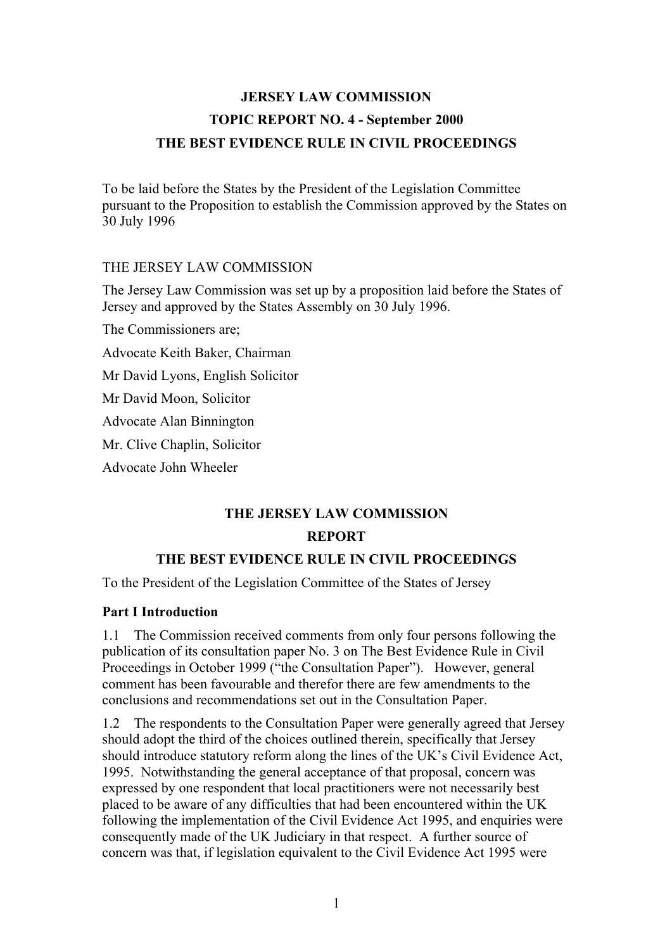# **JERSEY LAW COMMISSION TOPIC REPORT NO. 4 - September 2000 THE BEST EVIDENCE RULE IN CIVIL PROCEEDINGS**

To be laid before the States by the President of the Legislation Committee pursuant to the Proposition to establish the Commission approved by the States on 30 July 1996

#### THE JERSEY LAW COMMISSION

The Jersey Law Commission was set up by a proposition laid before the States of Jersey and approved by the States Assembly on 30 July 1996.

The Commissioners are;

Advocate Keith Baker, Chairman

Mr David Lyons, English Solicitor

Mr David Moon, Solicitor

Advocate Alan Binnington

Mr. Clive Chaplin, Solicitor

Advocate John Wheeler

## **THE JERSEY LAW COMMISSION REPORT**

## **THE BEST EVIDENCE RULE IN CIVIL PROCEEDINGS**

To the President of the Legislation Committee of the States of Jersey

#### **Part I Introduction**

1.1 The Commission received comments from only four persons following the publication of its consultation paper No. 3 on The Best Evidence Rule in Civil Proceedings in October 1999 ("the Consultation Paper"). However, general comment has been favourable and therefor there are few amendments to the conclusions and recommendations set out in the Consultation Paper.

1.2 The respondents to the Consultation Paper were generally agreed that Jersey should adopt the third of the choices outlined therein, specifically that Jersey should introduce statutory reform along the lines of the UK's Civil Evidence Act, 1995. Notwithstanding the general acceptance of that proposal, concern was expressed by one respondent that local practitioners were not necessarily best placed to be aware of any difficulties that had been encountered within the UK following the implementation of the Civil Evidence Act 1995, and enquiries were consequently made of the UK Judiciary in that respect. A further source of concern was that, if legislation equivalent to the Civil Evidence Act 1995 were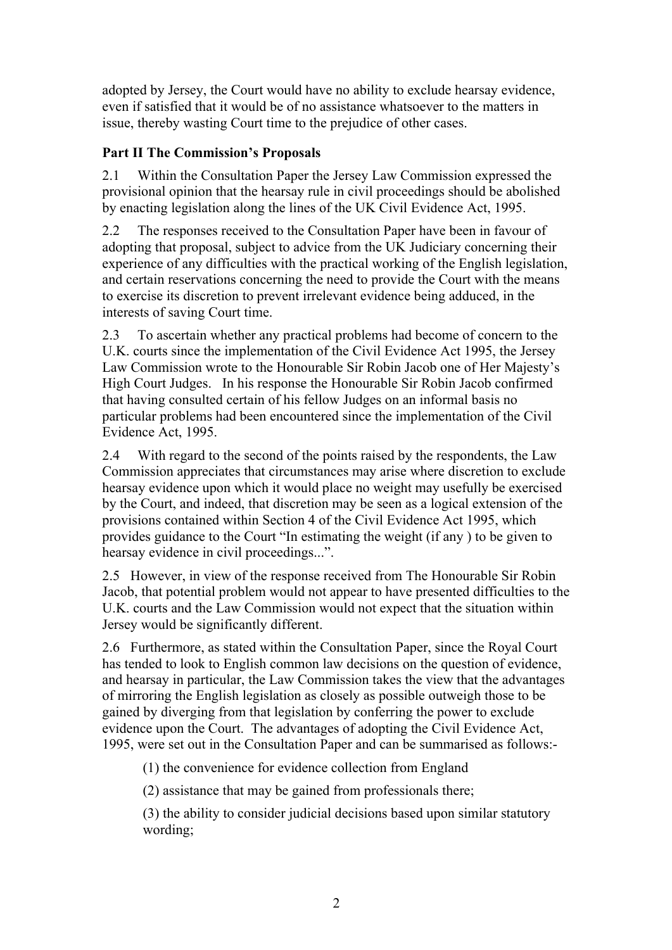adopted by Jersey, the Court would have no ability to exclude hearsay evidence, even if satisfied that it would be of no assistance whatsoever to the matters in issue, thereby wasting Court time to the prejudice of other cases.

## **Part II The Commission's Proposals**

2.1 Within the Consultation Paper the Jersey Law Commission expressed the provisional opinion that the hearsay rule in civil proceedings should be abolished by enacting legislation along the lines of the UK Civil Evidence Act, 1995.

2.2 The responses received to the Consultation Paper have been in favour of adopting that proposal, subject to advice from the UK Judiciary concerning their experience of any difficulties with the practical working of the English legislation, and certain reservations concerning the need to provide the Court with the means to exercise its discretion to prevent irrelevant evidence being adduced, in the interests of saving Court time.

2.3 To ascertain whether any practical problems had become of concern to the U.K. courts since the implementation of the Civil Evidence Act 1995, the Jersey Law Commission wrote to the Honourable Sir Robin Jacob one of Her Majesty's High Court Judges. In his response the Honourable Sir Robin Jacob confirmed that having consulted certain of his fellow Judges on an informal basis no particular problems had been encountered since the implementation of the Civil Evidence Act, 1995.

2.4 With regard to the second of the points raised by the respondents, the Law Commission appreciates that circumstances may arise where discretion to exclude hearsay evidence upon which it would place no weight may usefully be exercised by the Court, and indeed, that discretion may be seen as a logical extension of the provisions contained within Section 4 of the Civil Evidence Act 1995, which provides guidance to the Court "In estimating the weight (if any ) to be given to hearsay evidence in civil proceedings...".

2.5 However, in view of the response received from The Honourable Sir Robin Jacob, that potential problem would not appear to have presented difficulties to the U.K. courts and the Law Commission would not expect that the situation within Jersey would be significantly different.

2.6 Furthermore, as stated within the Consultation Paper, since the Royal Court has tended to look to English common law decisions on the question of evidence, and hearsay in particular, the Law Commission takes the view that the advantages of mirroring the English legislation as closely as possible outweigh those to be gained by diverging from that legislation by conferring the power to exclude evidence upon the Court. The advantages of adopting the Civil Evidence Act, 1995, were set out in the Consultation Paper and can be summarised as follows:-

(1) the convenience for evidence collection from England

(2) assistance that may be gained from professionals there;

(3) the ability to consider judicial decisions based upon similar statutory wording;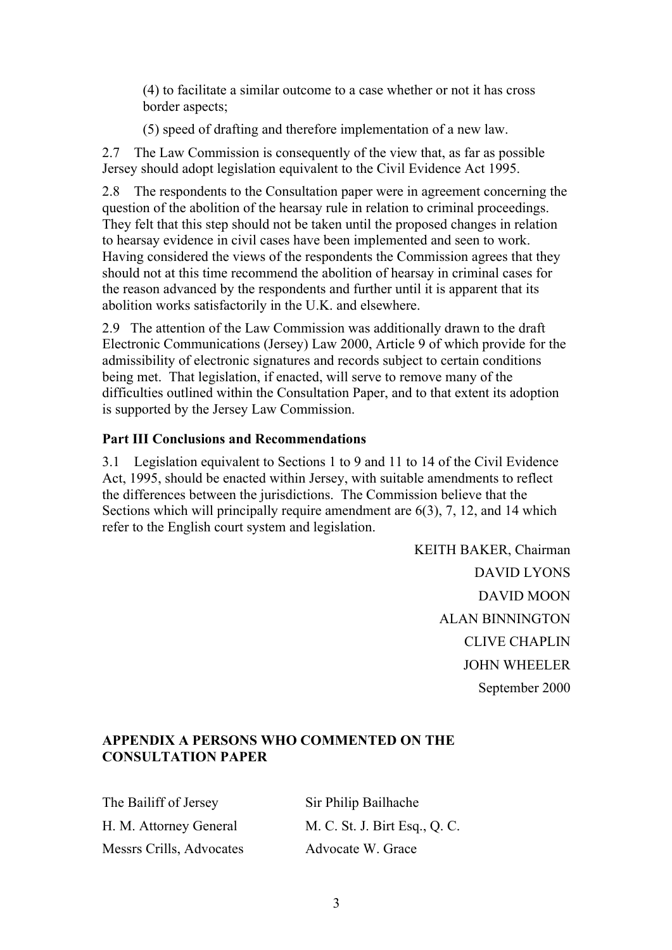(4) to facilitate a similar outcome to a case whether or not it has cross border aspects;

(5) speed of drafting and therefore implementation of a new law.

2.7 The Law Commission is consequently of the view that, as far as possible Jersey should adopt legislation equivalent to the Civil Evidence Act 1995.

2.8 The respondents to the Consultation paper were in agreement concerning the question of the abolition of the hearsay rule in relation to criminal proceedings. They felt that this step should not be taken until the proposed changes in relation to hearsay evidence in civil cases have been implemented and seen to work. Having considered the views of the respondents the Commission agrees that they should not at this time recommend the abolition of hearsay in criminal cases for the reason advanced by the respondents and further until it is apparent that its abolition works satisfactorily in the U.K. and elsewhere.

2.9 The attention of the Law Commission was additionally drawn to the draft Electronic Communications (Jersey) Law 2000, Article 9 of which provide for the admissibility of electronic signatures and records subject to certain conditions being met. That legislation, if enacted, will serve to remove many of the difficulties outlined within the Consultation Paper, and to that extent its adoption is supported by the Jersey Law Commission.

#### **Part III Conclusions and Recommendations**

3.1 Legislation equivalent to Sections 1 to 9 and 11 to 14 of the Civil Evidence Act, 1995, should be enacted within Jersey, with suitable amendments to reflect the differences between the jurisdictions. The Commission believe that the Sections which will principally require amendment are 6(3), 7, 12, and 14 which refer to the English court system and legislation.

> KEITH BAKER, Chairman DAVID LYONS DAVID MOON ALAN BINNINGTON CLIVE CHAPLIN JOHN WHEELER September 2000

#### **APPENDIX A PERSONS WHO COMMENTED ON THE CONSULTATION PAPER**

The Bailiff of Jersey Sir Philip Bailhache H. M. Attorney General M. C. St. J. Birt Esq., Q. C. Messrs Crills, Advocates Advocate W. Grace